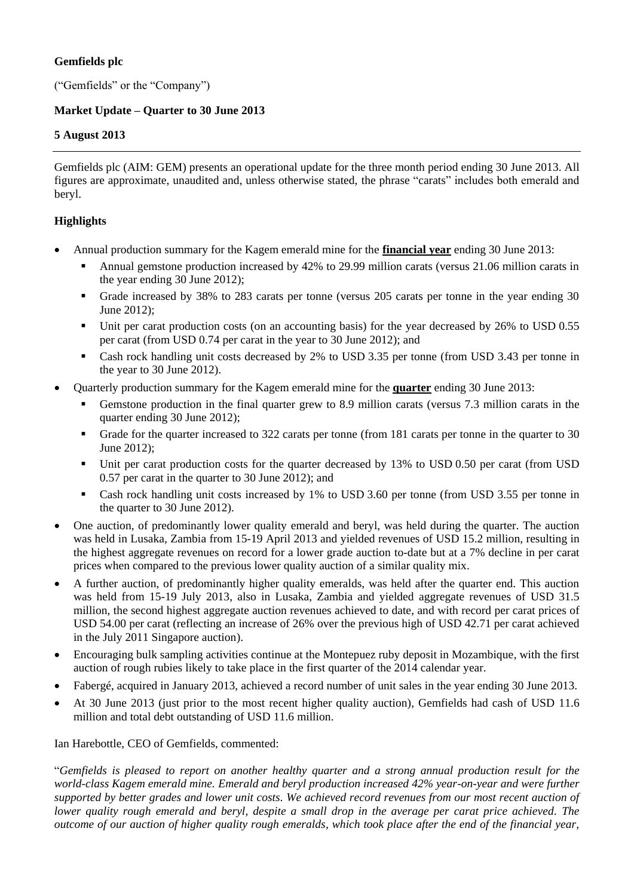## **Gemfields plc**

("Gemfields" or the "Company")

# **Market Update – Quarter to 30 June 2013**

## **5 August 2013**

Gemfields plc (AIM: GEM) presents an operational update for the three month period ending 30 June 2013. All figures are approximate, unaudited and, unless otherwise stated, the phrase "carats" includes both emerald and beryl.

# **Highlights**

- Annual production summary for the Kagem emerald mine for the **financial year** ending 30 June 2013:
	- Annual gemstone production increased by 42% to 29.99 million carats (versus 21.06 million carats in the year ending 30 June 2012);
	- Grade increased by 38% to 283 carats per tonne (versus 205 carats per tonne in the year ending 30 June 2012);
	- Unit per carat production costs (on an accounting basis) for the year decreased by 26% to USD 0.55 per carat (from USD 0.74 per carat in the year to 30 June 2012); and
	- Cash rock handling unit costs decreased by 2% to USD 3.35 per tonne (from USD 3.43 per tonne in the year to 30 June 2012).
- Quarterly production summary for the Kagem emerald mine for the **quarter** ending 30 June 2013:
	- Gemstone production in the final quarter grew to 8.9 million carats (versus 7.3 million carats in the quarter ending 30 June 2012);
	- Grade for the quarter increased to 322 carats per tonne (from 181 carats per tonne in the quarter to 30 June 2012);
	- Unit per carat production costs for the quarter decreased by 13% to USD 0.50 per carat (from USD 0.57 per carat in the quarter to 30 June 2012); and
	- Cash rock handling unit costs increased by 1% to USD 3.60 per tonne (from USD 3.55 per tonne in the quarter to 30 June 2012).
- One auction, of predominantly lower quality emerald and beryl, was held during the quarter. The auction was held in Lusaka, Zambia from 15-19 April 2013 and yielded revenues of USD 15.2 million, resulting in the highest aggregate revenues on record for a lower grade auction to-date but at a 7% decline in per carat prices when compared to the previous lower quality auction of a similar quality mix.
- A further auction, of predominantly higher quality emeralds, was held after the quarter end. This auction was held from 15-19 July 2013, also in Lusaka, Zambia and yielded aggregate revenues of USD 31.5 million, the second highest aggregate auction revenues achieved to date, and with record per carat prices of USD 54.00 per carat (reflecting an increase of 26% over the previous high of USD 42.71 per carat achieved in the July 2011 Singapore auction).
- Encouraging bulk sampling activities continue at the Montepuez ruby deposit in Mozambique, with the first auction of rough rubies likely to take place in the first quarter of the 2014 calendar year.
- Fabergé, acquired in January 2013, achieved a record number of unit sales in the year ending 30 June 2013.
- At 30 June 2013 (just prior to the most recent higher quality auction), Gemfields had cash of USD 11.6 million and total debt outstanding of USD 11.6 million.

Ian Harebottle, CEO of Gemfields, commented:

"*Gemfields is pleased to report on another healthy quarter and a strong annual production result for the world-class Kagem emerald mine. Emerald and beryl production increased 42% year-on-year and were further supported by better grades and lower unit costs. We achieved record revenues from our most recent auction of lower quality rough emerald and beryl, despite a small drop in the average per carat price achieved. The outcome of our auction of higher quality rough emeralds, which took place after the end of the financial year,*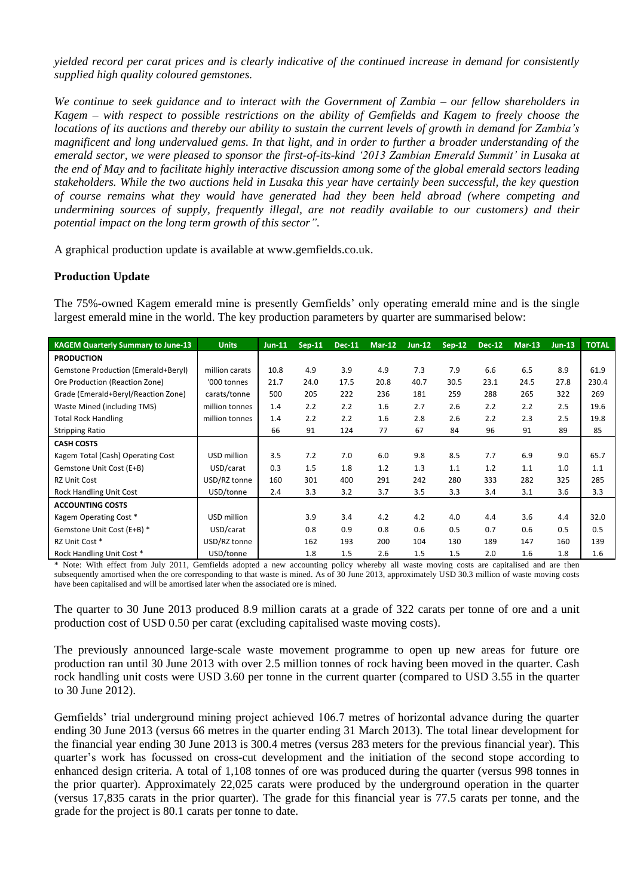*yielded record per carat prices and is clearly indicative of the continued increase in demand for consistently supplied high quality coloured gemstones.*

*We continue to seek guidance and to interact with the Government of Zambia – our fellow shareholders in Kagem – with respect to possible restrictions on the ability of Gemfields and Kagem to freely choose the locations of its auctions and thereby our ability to sustain the current levels of growth in demand for Zambia's magnificent and long undervalued gems. In that light, and in order to further a broader understanding of the emerald sector, we were pleased to sponsor the first-of-its-kind '2013 Zambian Emerald Summit' in Lusaka at the end of May and to facilitate highly interactive discussion among some of the global emerald sectors leading stakeholders. While the two auctions held in Lusaka this year have certainly been successful, the key question of course remains what they would have generated had they been held abroad (where competing and undermining sources of supply, frequently illegal, are not readily available to our customers) and their potential impact on the long term growth of this sector".*

A graphical production update is available at [www.gemfields.co.uk.](http://www.gemfields.co.uk/)

## **Production Update**

The 75%-owned Kagem emerald mine is presently Gemfields' only operating emerald mine and is the single largest emerald mine in the world. The key production parameters by quarter are summarised below:

| <b>KAGEM Quarterly Summary to June-13</b> | <b>Units</b>   | $Jun-11$ | $Sep-11$ | <b>Dec-11</b> | <b>Mar-12</b> | $Jun-12$ | $Sep-12$ | <b>Dec-12</b> | $Mar-13$ | $Jun-13$ | <b>TOTAL</b> |
|-------------------------------------------|----------------|----------|----------|---------------|---------------|----------|----------|---------------|----------|----------|--------------|
| <b>PRODUCTION</b>                         |                |          |          |               |               |          |          |               |          |          |              |
| Gemstone Production (Emerald+Beryl)       | million carats | 10.8     | 4.9      | 3.9           | 4.9           | 7.3      | 7.9      | 6.6           | 6.5      | 8.9      | 61.9         |
| Ore Production (Reaction Zone)            | '000 tonnes    | 21.7     | 24.0     | 17.5          | 20.8          | 40.7     | 30.5     | 23.1          | 24.5     | 27.8     | 230.4        |
| Grade (Emerald+Beryl/Reaction Zone)       | carats/tonne   | 500      | 205      | 222           | 236           | 181      | 259      | 288           | 265      | 322      | 269          |
| Waste Mined (including TMS)               | million tonnes | 1.4      | 2.2      | 2.2           | 1.6           | 2.7      | 2.6      | 2.2           | 2.2      | 2.5      | 19.6         |
| <b>Total Rock Handling</b>                | million tonnes | 1.4      | 2.2      | 2.2           | 1.6           | 2.8      | 2.6      | 2.2           | 2.3      | 2.5      | 19.8         |
| <b>Stripping Ratio</b>                    |                | 66       | 91       | 124           | 77            | 67       | 84       | 96            | 91       | 89       | 85           |
| <b>CASH COSTS</b>                         |                |          |          |               |               |          |          |               |          |          |              |
| Kagem Total (Cash) Operating Cost         | USD million    | 3.5      | 7.2      | 7.0           | 6.0           | 9.8      | 8.5      | 7.7           | 6.9      | 9.0      | 65.7         |
| Gemstone Unit Cost (E+B)                  | USD/carat      | 0.3      | 1.5      | 1.8           | 1.2           | 1.3      | 1.1      | 1.2           | 1.1      | 1.0      | 1.1          |
| <b>RZ Unit Cost</b>                       | USD/RZ tonne   | 160      | 301      | 400           | 291           | 242      | 280      | 333           | 282      | 325      | 285          |
| Rock Handling Unit Cost                   | USD/tonne      | 2.4      | 3.3      | 3.2           | 3.7           | 3.5      | 3.3      | 3.4           | 3.1      | 3.6      | 3.3          |
| <b>ACCOUNTING COSTS</b>                   |                |          |          |               |               |          |          |               |          |          |              |
| Kagem Operating Cost *                    | USD million    |          | 3.9      | 3.4           | 4.2           | 4.2      | 4.0      | 4.4           | 3.6      | 4.4      | 32.0         |
| Gemstone Unit Cost (E+B) *                | USD/carat      |          | 0.8      | 0.9           | 0.8           | 0.6      | 0.5      | 0.7           | 0.6      | 0.5      | 0.5          |
| RZ Unit Cost *                            | USD/RZ tonne   |          | 162      | 193           | 200           | 104      | 130      | 189           | 147      | 160      | 139          |
| Rock Handling Unit Cost *                 | USD/tonne      |          | 1.8      | 1.5           | 2.6           | 1.5      | 1.5      | 2.0           | 1.6      | 1.8      | 1.6          |

Note: With effect from July 2011, Gemfields adopted a new accounting policy whereby all waste moving costs are capitalised and are then subsequently amortised when the ore corresponding to that waste is mined. As of 30 June 2013, approximately USD 30.3 million of waste moving costs have been capitalised and will be amortised later when the associated ore is mined.

The quarter to 30 June 2013 produced 8.9 million carats at a grade of 322 carats per tonne of ore and a unit production cost of USD 0.50 per carat (excluding capitalised waste moving costs).

The previously announced large-scale waste movement programme to open up new areas for future ore production ran until 30 June 2013 with over 2.5 million tonnes of rock having been moved in the quarter. Cash rock handling unit costs were USD 3.60 per tonne in the current quarter (compared to USD 3.55 in the quarter to 30 June 2012).

Gemfields' trial underground mining project achieved 106.7 metres of horizontal advance during the quarter ending 30 June 2013 (versus 66 metres in the quarter ending 31 March 2013). The total linear development for the financial year ending 30 June 2013 is 300.4 metres (versus 283 meters for the previous financial year). This quarter's work has focussed on cross-cut development and the initiation of the second stope according to enhanced design criteria. A total of 1,108 tonnes of ore was produced during the quarter (versus 998 tonnes in the prior quarter). Approximately 22,025 carats were produced by the underground operation in the quarter (versus 17,835 carats in the prior quarter). The grade for this financial year is 77.5 carats per tonne, and the grade for the project is 80.1 carats per tonne to date.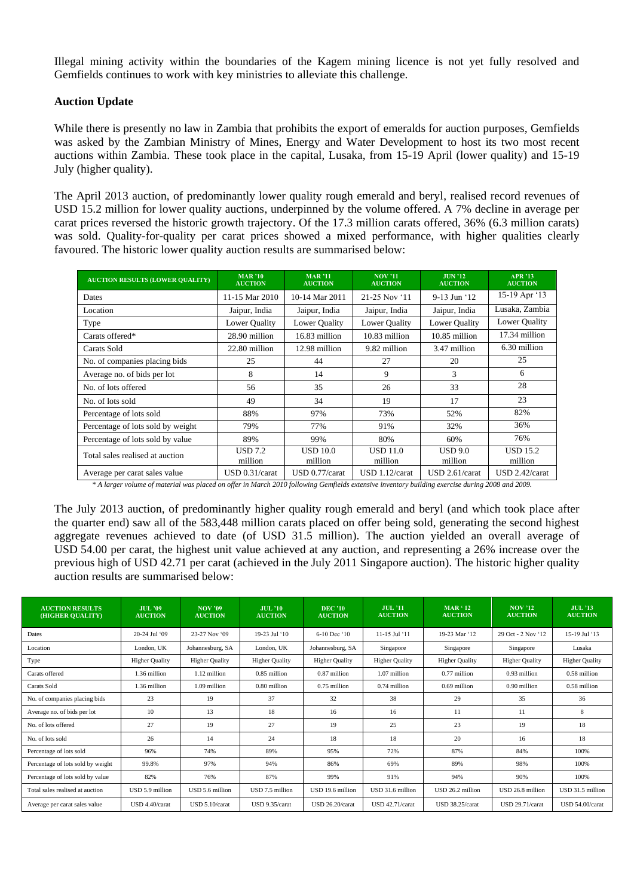Illegal mining activity within the boundaries of the Kagem mining licence is not yet fully resolved and Gemfields continues to work with key ministries to alleviate this challenge.

### **Auction Update**

While there is presently no law in Zambia that prohibits the export of emeralds for auction purposes, Gemfields was asked by the Zambian Ministry of Mines, Energy and Water Development to host its two most recent auctions within Zambia. These took place in the capital, Lusaka, from 15-19 April (lower quality) and 15-19 July (higher quality).

The April 2013 auction, of predominantly lower quality rough emerald and beryl, realised record revenues of USD 15.2 million for lower quality auctions, underpinned by the volume offered. A 7% decline in average per carat prices reversed the historic growth trajectory. Of the 17.3 million carats offered, 36% (6.3 million carats) was sold. Quality-for-quality per carat prices showed a mixed performance, with higher qualities clearly favoured. The historic lower quality auction results are summarised below:

| <b>AUCTION RESULTS (LOWER QUALITY)</b> | <b>MAR</b> '10<br><b>AUCTION</b> | <b>MAR</b> '11<br><b>AUCTION</b> | $NOV$ <sup>2</sup> 11<br><b>AUCTION</b> | $JIIN$ $'12$<br><b>AUCTION</b> | <b>APR</b> '13<br><b>AUCTION</b> |  |
|----------------------------------------|----------------------------------|----------------------------------|-----------------------------------------|--------------------------------|----------------------------------|--|
| Dates                                  | 11-15 Mar 2010                   | 10-14 Mar 2011                   | 21-25 Nov '11                           | 9-13 Jun '12                   | 15-19 Apr '13                    |  |
| Location                               | Jaipur, India                    | Jaipur, India                    | Jaipur, India                           | Jaipur, India                  | Lusaka, Zambia                   |  |
| Type                                   | Lower Quality                    | Lower Quality                    | Lower Quality                           | Lower Quality                  | Lower Quality                    |  |
| Carats offered*                        | 28.90 million                    | 16.83 million<br>10.83 million   |                                         | 10.85 million                  | 17.34 million                    |  |
| Carats Sold                            | 22.80 million                    | 12.98 million                    | 9.82 million                            | 3.47 million                   | 6.30 million                     |  |
| No. of companies placing bids          | 25                               | 44                               | 27                                      | 20                             | 25                               |  |
| Average no. of bids per lot            | 8                                | 14                               | 9                                       | 3                              | 6                                |  |
| No. of lots offered                    | 56                               | 35                               | 26                                      | 33                             | 28                               |  |
| No. of lots sold                       | 49                               | 34                               | 19                                      | 17                             | 23                               |  |
| Percentage of lots sold                | 88%                              | 97%                              | 73%                                     | 52%                            | 82%                              |  |
| Percentage of lots sold by weight      | 79%                              | 77%                              | 91%                                     | 32%                            | 36%                              |  |
| Percentage of lots sold by value       | 89%                              | 99%                              | 80%                                     | 60%                            | 76%                              |  |
| Total sales realised at auction        | <b>USD 7.2</b><br>million        | <b>USD 10.0</b><br>million       | <b>USD 11.0</b><br>million              | <b>USD 9.0</b><br>million      | <b>USD 15.2</b><br>million       |  |
| Average per carat sales value          | USD 0.31/carat                   | USD 0.77/carat                   | USD 1.12/carat                          | USD 2.61/carat                 | USD 2.42/carat                   |  |

*\* A larger volume of material was placed on offer in March 2010 following Gemfields extensive inventory building exercise during 2008 and 2009.*

The July 2013 auction, of predominantly higher quality rough emerald and beryl (and which took place after the quarter end) saw all of the 583,448 million carats placed on offer being sold, generating the second highest aggregate revenues achieved to date (of USD 31.5 million). The auction yielded an overall average of USD 54.00 per carat, the highest unit value achieved at any auction, and representing a 26% increase over the previous high of USD 42.71 per carat (achieved in the July 2011 Singapore auction). The historic higher quality auction results are summarised below:

| <b>AUCTION RESULTS</b><br>(HIGHER OUALITY) | <b>JUL '09</b><br><b>AUCTION</b> | <b>NOV '09</b><br><b>AUCTION</b> | <b>JUL</b> ?10<br><b>AUCTION</b> | <b>DEC</b> '10<br><b>AUCTION</b> | $JUL$ <sup>211</sup><br><b>AUCTION</b> | $\mathbf{MAR}$ ' 12<br><b>AUCTION</b> | <b>NOV</b> '12<br><b>AUCTION</b> | <b>JUL 213</b><br><b>AUCTION</b> |
|--------------------------------------------|----------------------------------|----------------------------------|----------------------------------|----------------------------------|----------------------------------------|---------------------------------------|----------------------------------|----------------------------------|
| Dates                                      | 20-24 Jul '09                    | 23-27 Nov '09                    | 19-23 Jul '10                    | 6-10 Dec '10                     | 11-15 Jul '11                          | 19-23 Mar '12                         | 29 Oct - 2 Nov '12               | 15-19 Jul '13                    |
| Location                                   | London, UK                       | Johannesburg, SA                 | London, UK                       | Johannesburg, SA                 | Singapore                              | Singapore                             | Singapore                        | Lusaka                           |
| Type                                       | <b>Higher Quality</b>            | <b>Higher Quality</b>            | <b>Higher Quality</b>            | <b>Higher Quality</b>            | <b>Higher Quality</b>                  | <b>Higher Quality</b>                 | <b>Higher Quality</b>            | <b>Higher Quality</b>            |
| Carats offered                             | 1.36 million                     | 1.12 million                     | 0.85 million                     | 0.87 million                     | 1.07 million                           | 0.77 million                          | 0.93 million                     | 0.58 million                     |
| Carats Sold                                | 1.36 million                     | 1.09 million                     | 0.80 million                     | 0.75 million                     | 0.74 million                           | 0.69 million                          | 0.90 million                     | 0.58 million                     |
| No. of companies placing bids              | 23                               | 19                               | 37                               | 32                               | 38                                     | 29                                    | 35                               | 36                               |
| Average no. of bids per lot                | 10                               | 13                               | 18                               | 16                               | 16                                     | 11                                    | 11                               | 8                                |
| No. of lots offered                        | 27                               | 19                               | 27                               | 19                               | 25                                     | 23                                    | 19                               | 18                               |
| No. of lots sold                           | 26                               | 14                               | 24                               | 18                               | 18                                     | 20                                    | 16                               | 18                               |
| Percentage of lots sold                    | 96%                              | 74%                              | 89%                              | 95%                              | 72%                                    | 87%                                   | 84%                              | 100%                             |
| Percentage of lots sold by weight          | 99.8%                            | 97%                              | 94%                              | 86%                              | 69%                                    | 89%                                   | 98%                              | 100%                             |
| Percentage of lots sold by value           | 82%                              | 76%                              | 87%                              | 99%                              | 91%                                    | 94%                                   | 90%                              | 100%                             |
| Total sales realised at auction            | USD 5.9 million                  | USD 5.6 million                  | USD 7.5 million                  | USD 19.6 million                 | USD 31.6 million                       | USD 26.2 million                      | USD 26.8 million                 | USD 31.5 million                 |
| Average per carat sales value              | USD 4.40/carat                   | USD 5.10/carat                   | USD 9.35/carat                   | USD 26.20/carat                  | USD 42.71/carat                        | USD 38.25/carat                       | USD 29.71/carat                  | USD 54.00/carat                  |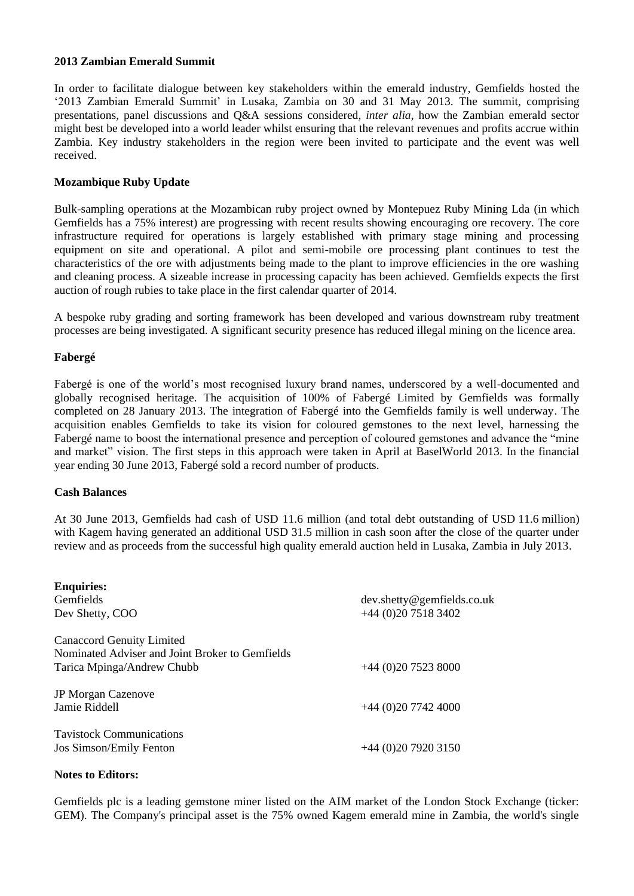#### **2013 Zambian Emerald Summit**

In order to facilitate dialogue between key stakeholders within the emerald industry, Gemfields hosted the '2013 Zambian Emerald Summit' in Lusaka, Zambia on 30 and 31 May 2013. The summit, comprising presentations, panel discussions and Q&A sessions considered, *inter alia*, how the Zambian emerald sector might best be developed into a world leader whilst ensuring that the relevant revenues and profits accrue within Zambia. Key industry stakeholders in the region were been invited to participate and the event was well received.

### **Mozambique Ruby Update**

Bulk-sampling operations at the Mozambican ruby project owned by Montepuez Ruby Mining Lda (in which Gemfields has a 75% interest) are progressing with recent results showing encouraging ore recovery. The core infrastructure required for operations is largely established with primary stage mining and processing equipment on site and operational. A pilot and semi-mobile ore processing plant continues to test the characteristics of the ore with adjustments being made to the plant to improve efficiencies in the ore washing and cleaning process. A sizeable increase in processing capacity has been achieved. Gemfields expects the first auction of rough rubies to take place in the first calendar quarter of 2014.

A bespoke ruby grading and sorting framework has been developed and various downstream ruby treatment processes are being investigated. A significant security presence has reduced illegal mining on the licence area.

#### **Fabergé**

Fabergé is one of the world's most recognised luxury brand names, underscored by a well-documented and globally recognised heritage. The acquisition of 100% of Fabergé Limited by Gemfields was formally completed on 28 January 2013. The integration of Fabergé into the Gemfields family is well underway. The acquisition enables Gemfields to take its vision for coloured gemstones to the next level, harnessing the Fabergé name to boost the international presence and perception of coloured gemstones and advance the "mine and market" vision. The first steps in this approach were taken in April at BaselWorld 2013. In the financial year ending 30 June 2013, Fabergé sold a record number of products.

#### **Cash Balances**

At 30 June 2013, Gemfields had cash of USD 11.6 million (and total debt outstanding of USD 11.6 million) with Kagem having generated an additional USD 31.5 million in cash soon after the close of the quarter under review and as proceeds from the successful high quality emerald auction held in Lusaka, Zambia in July 2013.

| <b>Enquiries:</b>                               |                               |
|-------------------------------------------------|-------------------------------|
| Gemfields                                       | $dev.s$ hetty@gemfields.co.uk |
| Dev Shetty, COO                                 | $+44(0)2075183402$            |
| <b>Canaccord Genuity Limited</b>                |                               |
| Nominated Adviser and Joint Broker to Gemfields |                               |
| Tarica Mpinga/Andrew Chubb                      | $+44$ (0)20 7523 8000         |
| <b>JP Morgan Cazenove</b>                       |                               |
| Jamie Riddell                                   | $+44(0)2077424000$            |
| <b>Tavistock Communications</b>                 |                               |
| Jos Simson/Emily Fenton                         | $+44(0)2079203150$            |

#### **Notes to Editors:**

Gemfields plc is a leading gemstone miner listed on the AIM market of the London Stock Exchange (ticker: GEM). The Company's principal asset is the 75% owned Kagem emerald mine in Zambia, the world's single